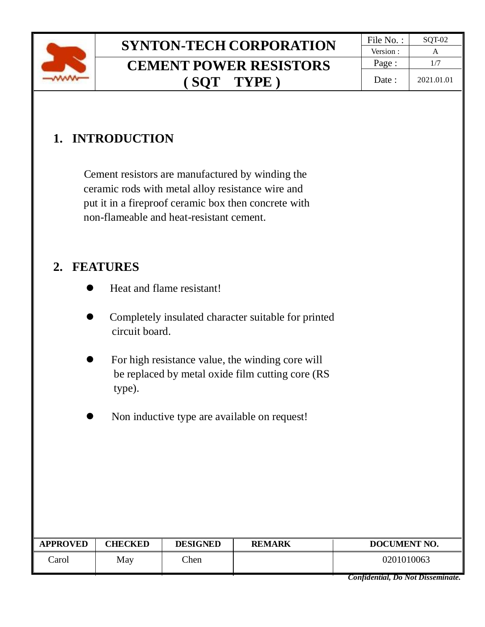

# **SYNTON-TECH CORPORATION** File No. :  $\frac{\text{File No. : } }{ \text{Version : } } A}$ **CEMENT POWER RESISTORS ( SQT TYPE )**

## **1. INTRODUCTION**

 Cement resistors are manufactured by winding the ceramic rods with metal alloy resistance wire and put it in a fireproof ceramic box then concrete with non-flameable and heat-resistant cement.

### **2. FEATURES**

- Heat and flame resistant!
- ⚫ Completely insulated character suitable for printed circuit board.
- ⚫ For high resistance value, the winding core will be replaced by metal oxide film cutting core (RS type).
- ⚫ Non inductive type are available on request!

| <b>APPROVED</b> | <b>CHECKED</b> | <b>DESIGNED</b> | <b>REMARK</b> | DOCUMENT NO. |  |
|-----------------|----------------|-----------------|---------------|--------------|--|
| `arol           | May            | Then            |               | 0201010063   |  |

*Confidential, Do Not Disseminate.*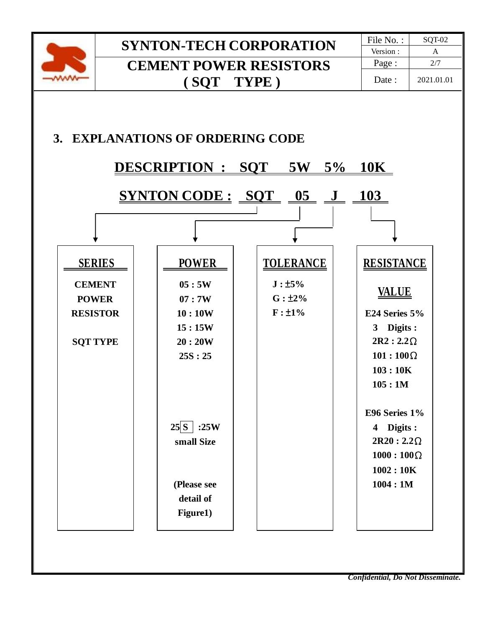

## **SYNTON-TECH CORPORATION** File No. : SQT-02 **CEMENT POWER RESISTORS ( SQT TYPE )**



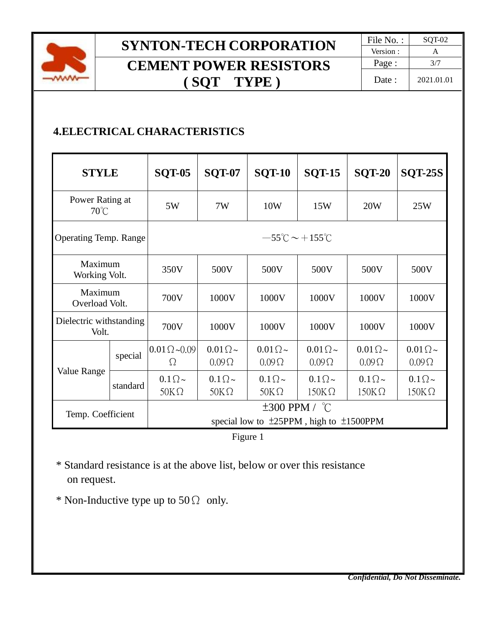

# **SYNTON-TECH CORPORATION** File No. : SQT-02 **CEMENT POWER RESISTORS ( SQT TYPE )**

### **4.ELECTRICAL CHARACTERISTICS**

| <b>STYLE</b>                      |          | <b>SQT-05</b>                                                             | <b>SQT-07</b>                    | <b>SQT-10</b>                    | <b>SQT-15</b>                  | <b>SQT-20</b>                    | <b>SQT-25S</b>                   |  |
|-----------------------------------|----------|---------------------------------------------------------------------------|----------------------------------|----------------------------------|--------------------------------|----------------------------------|----------------------------------|--|
| Power Rating at<br>$70^{\circ}$ C |          | 5W                                                                        | 7W                               | 10W                              | 15W                            | 20W                              | 25W                              |  |
| <b>Operating Temp. Range</b>      |          | $-55^{\circ}$ C ~ +155 $^{\circ}$ C                                       |                                  |                                  |                                |                                  |                                  |  |
| Maximum<br>Working Volt.          |          | 350V                                                                      | 500V                             | 500V                             | 500V                           | 500V                             | 500V                             |  |
| Maximum<br>Overload Volt.         |          | 700V                                                                      | 1000V                            | 1000V                            | 1000V                          | 1000V                            | 1000V                            |  |
| Dielectric withstanding<br>Volt.  |          | 700V                                                                      | 1000V                            | 1000V                            | 1000V                          | 1000V                            | 1000V                            |  |
| Value Range                       | special  | $0.01 \Omega \sim 0.09$<br>Ω                                              | $0.01\Omega\sim$<br>$0.09\Omega$ | $0.01\Omega$ ~<br>$0.09\Omega$   | $0.01\Omega$ ~<br>$0.09\Omega$ | $0.01\Omega\sim$<br>$0.09\Omega$ | $0.01\Omega$ ~<br>$0.09\Omega$   |  |
|                                   | standard | $0.1\Omega \sim$<br>$50K\Omega$                                           | $0.1 \Omega \sim$<br>$50K\Omega$ | $0.1 \Omega \sim$<br>$50K\Omega$ | $0.1\Omega$ ~<br>$150K\Omega$  | $0.1\Omega \sim$<br>$150K\Omega$ | $0.1\Omega \sim$<br>$150K\Omega$ |  |
| Temp. Coefficient                 |          | $\pm 300$ PPM / °C<br>special low to $\pm 25$ PPM, high to $\pm 1500$ PPM |                                  |                                  |                                |                                  |                                  |  |



 \* Standard resistance is at the above list, below or over this resistance on request.

\* Non-Inductive type up to  $50\Omega$  only.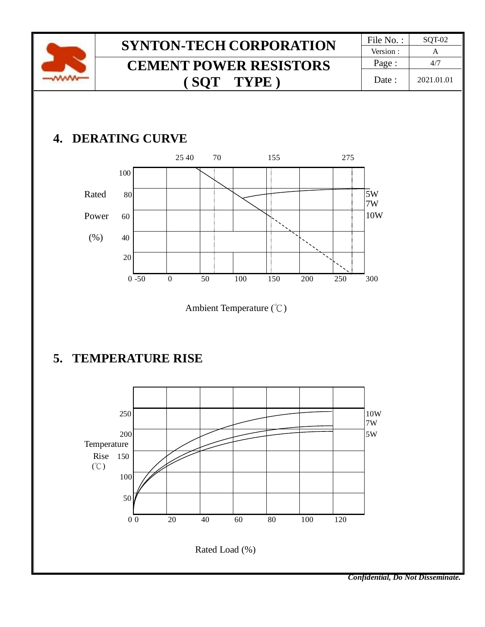

## **5. TEMPERATURE RISE**



*Confidential, Do Not Disseminate.*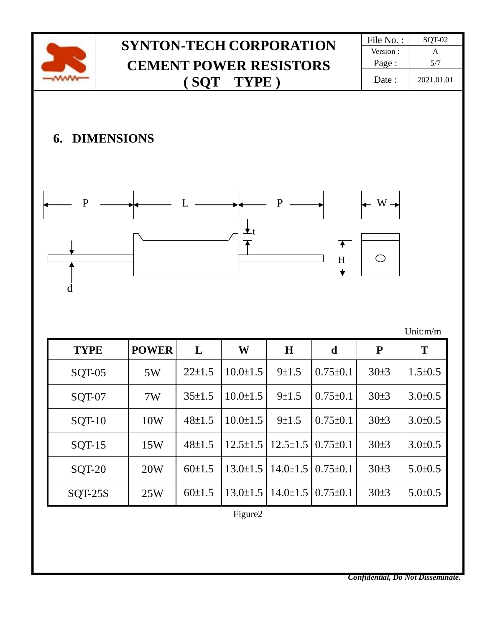|                                                                                                                                                         |               | <b>SYNTON-TECH CORPORATION</b> |              |              |                |                | File No.:      | SQT-02              |               |  |
|---------------------------------------------------------------------------------------------------------------------------------------------------------|---------------|--------------------------------|--------------|--------------|----------------|----------------|----------------|---------------------|---------------|--|
|                                                                                                                                                         |               | <b>CEMENT POWER RESISTORS</b>  |              |              |                |                | Version:       | $\mathbf{A}$<br>5/7 |               |  |
|                                                                                                                                                         |               |                                |              |              |                |                |                | Page:               |               |  |
|                                                                                                                                                         |               |                                |              | (SQT)        | TYPE)          |                |                | Date:               | 2021.01.01    |  |
| <b>6. DIMENSIONS</b><br>P<br>$\mathbf{P}$<br>$W -$<br>$\overline{\textbf{A}}$<br>$\bigcirc$<br>$\boldsymbol{\mathrm{H}}$<br>$\bigstar$<br>d<br>Unit:m/m |               |                                |              |              |                |                |                |                     |               |  |
|                                                                                                                                                         | <b>TYPE</b>   |                                | <b>POWER</b> | L            | W              | H              | d              | $\mathbf{P}$        | T             |  |
|                                                                                                                                                         | SQT-05        |                                | 5W           | $22 \pm 1.5$ | $10.0 \pm 1.5$ | 9±1.5          | $0.75 \pm 0.1$ | 30±3                | $1.5 \pm 0.5$ |  |
|                                                                                                                                                         | SQT-07        |                                | 7W           | $35 \pm 1.5$ | $10.0 \pm 1.5$ | 9±1.5          | $0.75 \pm 0.1$ | 30±3                | $3.0 \pm 0.5$ |  |
|                                                                                                                                                         | <b>SQT-10</b> |                                | 10W          | $48 \pm 1.5$ | $10.0 \pm 1.5$ | 9±1.5          | $0.75 \pm 0.1$ | 30±3                | $3.0 \pm 0.5$ |  |
|                                                                                                                                                         | $SQT-15$      |                                | 15W          | $48 + 1.5$   | $12.5 \pm 1.5$ | $12.5 \pm 1.5$ | $0.75 \pm 0.1$ | 30±3                | $3.0 \pm 0.5$ |  |
|                                                                                                                                                         | <b>SQT-20</b> |                                | 20W          | $60 \pm 1.5$ | $13.0 \pm 1.5$ | $14.0 \pm 1.5$ | $0.75 \pm 0.1$ | 30±3                | $5.0 \pm 0.5$ |  |
|                                                                                                                                                         | $SQT-25S$     |                                | 25W          | $60 \pm 1.5$ | $13.0 \pm 1.5$ | $14.0 \pm 1.5$ | $0.75 \pm 0.1$ | 30±3                | $5.0 \pm 0.5$ |  |

Figure2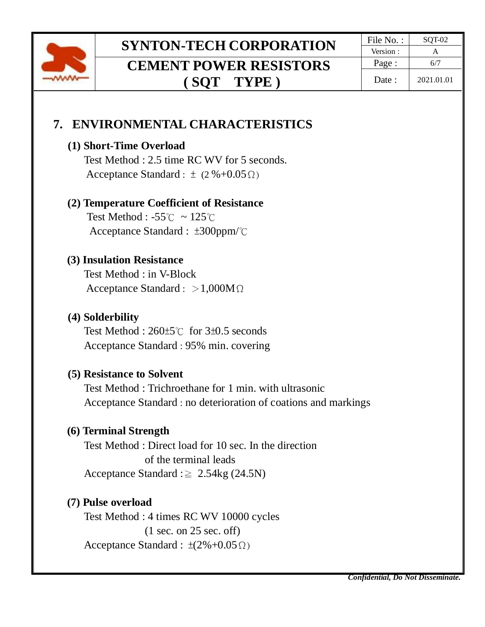

# **SYNTON-TECH CORPORATION** File No. : SQT-02 **CEMENT POWER RESISTORS ( SQT TYPE )**

## **7. ENVIRONMENTAL CHARACTERISTICS**

#### **(1) Short-Time Overload**

Test Method : 2.5 time RC WV for 5 seconds. Acceptance Standard :  $\pm$  (2 %+0.05 Ω)

#### **(2) Temperature Coefficient of Resistance**

 Test Method : -55℃ ~ 125℃ Acceptance Standard : ±300ppm/℃

#### **(3) Insulation Resistance**

Test Method : in V-Block Acceptance Standard : >1,000MΩ

#### **(4) Solderbility**

Test Method : 260±5℃ for 3±0.5 seconds Acceptance Standard : 95% min. covering

#### **(5) Resistance to Solvent**

Test Method : Trichroethane for 1 min. with ultrasonic Acceptance Standard : no deterioration of coations and markings

#### **(6) Terminal Strength**

Test Method : Direct load for 10 sec. In the direction of the terminal leads Acceptance Standard : $\geq 2.54$ kg (24.5N)

#### **(7) Pulse overload**

Test Method : 4 times RC WV 10000 cycles (1 sec. on 25 sec. off) Acceptance Standard :  $\pm(2\%+0.05\,\Omega)$